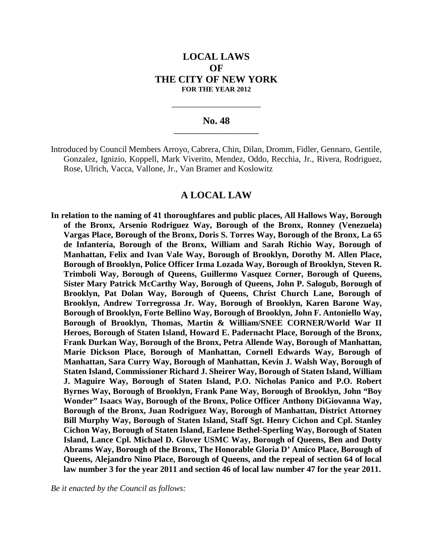# **LOCAL LAWS OF THE CITY OF NEW YORK FOR THE YEAR 2012**

## **No. 48 \_\_\_\_\_\_\_\_\_\_\_\_\_\_\_\_\_\_\_\_\_\_\_\_**

**\_\_\_\_\_\_\_\_\_\_\_\_\_\_\_\_\_\_\_\_\_\_\_\_\_\_\_\_**

#### **A LOCAL LAW**

**In relation to the naming of 41 thoroughfares and public places, All Hallows Way, Borough of the Bronx, Arsenio Rodriguez Way, Borough of the Bronx, Ronney (Venezuela) Vargas Place, Borough of the Bronx, Doris S. Torres Way, Borough of the Bronx, La 65 de Infantería, Borough of the Bronx, William and Sarah Richio Way, Borough of Manhattan, Felix and Ivan Vale Way, Borough of Brooklyn, Dorothy M. Allen Place, Borough of Brooklyn, Police Officer Irma Lozada Way, Borough of Brooklyn, Steven R. Trimboli Way, Borough of Queens, Guillermo Vasquez Corner, Borough of Queens, Sister Mary Patrick McCarthy Way, Borough of Queens, John P. Salogub, Borough of Brooklyn, Pat Dolan Way, Borough of Queens, Christ Church Lane, Borough of Brooklyn, Andrew Torregrossa Jr. Way, Borough of Brooklyn, Karen Barone Way, Borough of Brooklyn, Forte Bellino Way, Borough of Brooklyn, John F. Antoniello Way, Borough of Brooklyn, Thomas, Martin & William/SNEE CORNER/World War II Heroes, Borough of Staten Island, Howard E. Padernacht Place, Borough of the Bronx, Frank Durkan Way, Borough of the Bronx, Petra Allende Way, Borough of Manhattan, Marie Dickson Place, Borough of Manhattan, Cornell Edwards Way, Borough of Manhattan, Sara Curry Way, Borough of Manhattan, Kevin J. Walsh Way, Borough of Staten Island, Commissioner Richard J. Sheirer Way, Borough of Staten Island, William J. Maguire Way, Borough of Staten Island, P.O. Nicholas Panico and P.O. Robert Byrnes Way, Borough of Brooklyn, Frank Pane Way, Borough of Brooklyn, John "Boy Wonder" Isaacs Way, Borough of the Bronx, Police Officer Anthony DiGiovanna Way, Borough of the Bronx, Juan Rodriguez Way, Borough of Manhattan, District Attorney Bill Murphy Way, Borough of Staten Island, Staff Sgt. Henry Cichon and Cpl. Stanley Cichon Way, Borough of Staten Island, Earlene Bethel-Sperling Way, Borough of Staten Island, Lance Cpl. Michael D. Glover USMC Way, Borough of Queens, Ben and Dotty Abrams Way, Borough of the Bronx, The Honorable Gloria D' Amico Place, Borough of Queens, Alejandro Nino Place, Borough of Queens, and the repeal of section 64 of local law number 3 for the year 2011 and section 46 of local law number 47 for the year 2011.**

*Be it enacted by the Council as follows:*

Introduced by Council Members Arroyo, Cabrera, Chin, Dilan, Dromm, Fidler, Gennaro, Gentile, Gonzalez, Ignizio, Koppell, Mark Viverito, Mendez, Oddo, Recchia, Jr., Rivera, Rodriguez, Rose, Ulrich, Vacca, Vallone, Jr., Van Bramer and Koslowitz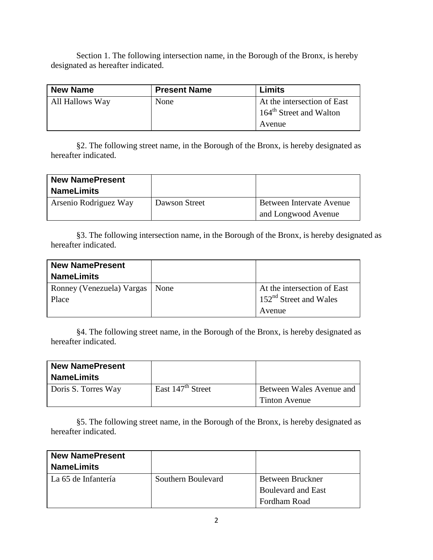Section 1. The following intersection name, in the Borough of the Bronx, is hereby designated as hereafter indicated.

| <b>New Name</b> | <b>Present Name</b> | Limits                              |
|-----------------|---------------------|-------------------------------------|
| All Hallows Way | None                | At the intersection of East         |
|                 |                     | 164 <sup>th</sup> Street and Walton |
|                 |                     | Avenue                              |

§2. The following street name, in the Borough of the Bronx, is hereby designated as hereafter indicated.

| <b>New NamePresent</b><br><b>NameLimits</b> |               |                                                 |
|---------------------------------------------|---------------|-------------------------------------------------|
| Arsenio Rodriguez Way                       | Dawson Street | Between Intervate Avenue<br>and Longwood Avenue |

§3. The following intersection name, in the Borough of the Bronx, is hereby designated as hereafter indicated.

| <b>New NamePresent</b>           |                                       |
|----------------------------------|---------------------------------------|
| <b>NameLimits</b>                |                                       |
| Ronney (Venezuela) Vargas   None | At the intersection of East           |
| Place                            | $\frac{152^{nd}}{3}$ Street and Wales |
|                                  | Avenue                                |

§4. The following street name, in the Borough of the Bronx, is hereby designated as hereafter indicated.

| <b>New NamePresent</b><br><b>NameLimits</b> |                               |                                           |
|---------------------------------------------|-------------------------------|-------------------------------------------|
| Doris S. Torres Way                         | East $147^{\text{th}}$ Street | Between Wales Avenue and<br>Tinton Avenue |

§5. The following street name, in the Borough of the Bronx, is hereby designated as hereafter indicated.

| <b>New NamePresent</b><br><b>NameLimits</b> |                    |                           |
|---------------------------------------------|--------------------|---------------------------|
| La 65 de Infantería                         | Southern Boulevard | Between Bruckner          |
|                                             |                    | <b>Boulevard and East</b> |
|                                             |                    | <b>Fordham Road</b>       |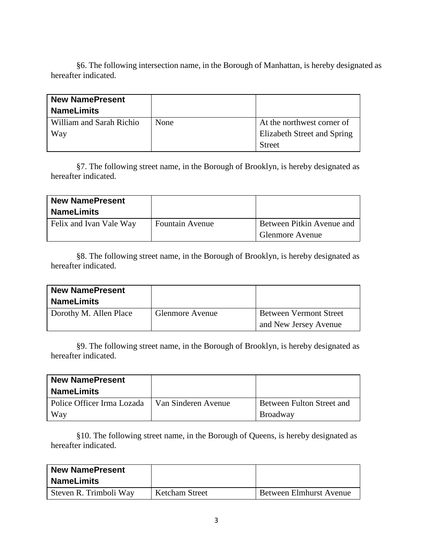§6. The following intersection name, in the Borough of Manhattan, is hereby designated as hereafter indicated.

| <b>New NamePresent</b>   |      |                             |
|--------------------------|------|-----------------------------|
| <b>NameLimits</b>        |      |                             |
| William and Sarah Richio | None | At the northwest corner of  |
| Way                      |      | Elizabeth Street and Spring |
|                          |      | <b>Street</b>               |

§7. The following street name, in the Borough of Brooklyn, is hereby designated as hereafter indicated.

| <b>New NamePresent</b><br><b>NameLimits</b> |                        |                           |
|---------------------------------------------|------------------------|---------------------------|
| Felix and Ivan Vale Way                     | <b>Fountain Avenue</b> | Between Pitkin Avenue and |
|                                             |                        | <b>Glenmore Avenue</b>    |

§8. The following street name, in the Borough of Brooklyn, is hereby designated as hereafter indicated.

| <b>New NamePresent</b><br><b>NameLimits</b> |                        |                                                        |
|---------------------------------------------|------------------------|--------------------------------------------------------|
| Dorothy M. Allen Place                      | <b>Glenmore Avenue</b> | <b>Between Vermont Street</b><br>and New Jersey Avenue |

§9. The following street name, in the Borough of Brooklyn, is hereby designated as hereafter indicated.

| <b>New NamePresent</b>                           |                           |
|--------------------------------------------------|---------------------------|
| <b>NameLimits</b>                                |                           |
| Police Officer Irma Lozada   Van Sinderen Avenue | Between Fulton Street and |
| Way                                              | Broadway                  |

§10. The following street name, in the Borough of Queens, is hereby designated as hereafter indicated.

| <b>New NamePresent</b> |                       |                         |
|------------------------|-----------------------|-------------------------|
| <b>NameLimits</b>      |                       |                         |
| Steven R. Trimboli Way | <b>Ketcham Street</b> | Between Elmhurst Avenue |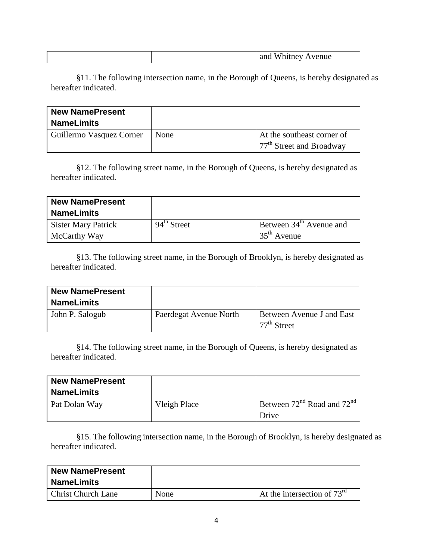|--|

§11. The following intersection name, in the Borough of Queens, is hereby designated as hereafter indicated.

| <b>New NamePresent</b><br><b>NameLimits</b> |      |                                                          |
|---------------------------------------------|------|----------------------------------------------------------|
| Guillermo Vasquez Corner                    | None | At the southeast corner of<br>$77th$ Street and Broadway |

§12. The following street name, in the Borough of Queens, is hereby designated as hereafter indicated.

| <b>New NamePresent</b><br><b>NameLimits</b> |                         |                                                      |
|---------------------------------------------|-------------------------|------------------------------------------------------|
| <b>Sister Mary Patrick</b><br>McCarthy Way  | $94^{\text{th}}$ Street | Between 34 <sup>th</sup> Avenue and<br>$35th$ Avenue |

§13. The following street name, in the Borough of Brooklyn, is hereby designated as hereafter indicated.

| <b>New NamePresent</b><br><b>NameLimits</b> |                        |                                            |
|---------------------------------------------|------------------------|--------------------------------------------|
| John P. Salogub                             | Paerdegat Avenue North | Between Avenue J and East<br>$77th$ Street |

§14. The following street name, in the Borough of Queens, is hereby designated as hereafter indicated.

| <b>New NamePresent</b><br><b>NameLimits</b> |              |                                      |
|---------------------------------------------|--------------|--------------------------------------|
| Pat Dolan Way                               | Vleigh Place | Between $72^{nd}$ Road and $72^{nd}$ |
|                                             |              | Drive                                |

§15. The following intersection name, in the Borough of Brooklyn, is hereby designated as hereafter indicated.

| <b>New NamePresent</b><br><b>NameLimits</b> |      |                                         |
|---------------------------------------------|------|-----------------------------------------|
| <b>Christ Church Lane</b>                   | None | At the intersection of $73^{\text{rd}}$ |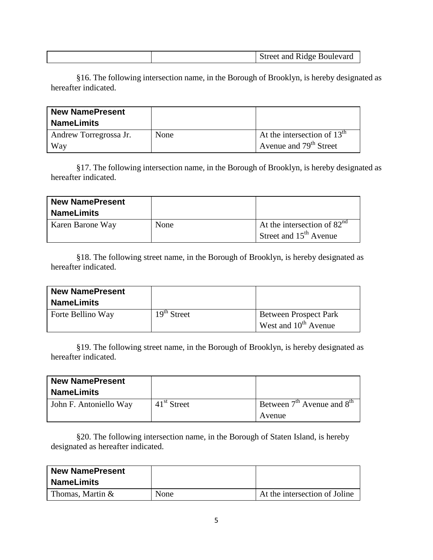|  |  | <b>Street and Ridge Boulevard</b> |
|--|--|-----------------------------------|
|--|--|-----------------------------------|

§16. The following intersection name, in the Borough of Brooklyn, is hereby designated as hereafter indicated.

| <b>New NamePresent</b> |      |                               |
|------------------------|------|-------------------------------|
| <b>NameLimits</b>      |      |                               |
| Andrew Torregrossa Jr. | None | At the intersection of $13th$ |
| <b>Way</b>             |      | Avenue and $79th$ Street      |

§17. The following intersection name, in the Borough of Brooklyn, is hereby designated as hereafter indicated.

| <b>New NamePresent</b><br><b>NameLimits</b> |      |                                                           |
|---------------------------------------------|------|-----------------------------------------------------------|
| Karen Barone Way                            | None | At the intersection of $82nd$<br>Street and $15th$ Avenue |

§18. The following street name, in the Borough of Brooklyn, is hereby designated as hereafter indicated.

| <b>New NamePresent</b> |               |                                                    |
|------------------------|---------------|----------------------------------------------------|
| <b>NameLimits</b>      |               |                                                    |
| Forte Bellino Way      | $19th$ Street | Between Prospect Park<br>West and $10^{th}$ Avenue |

§19. The following street name, in the Borough of Brooklyn, is hereby designated as hereafter indicated.

| <b>New NamePresent</b> |               |                                |
|------------------------|---------------|--------------------------------|
| <b>NameLimits</b>      |               |                                |
| John F. Antoniello Way | $41st$ Street | Between $7th$ Avenue and $8th$ |
|                        |               | Avenue                         |

§20. The following intersection name, in the Borough of Staten Island, is hereby designated as hereafter indicated.

| <b>New NamePresent</b><br><b>NameLimits</b> |      |                               |
|---------------------------------------------|------|-------------------------------|
| Thomas, Martin &                            | None | At the intersection of Joline |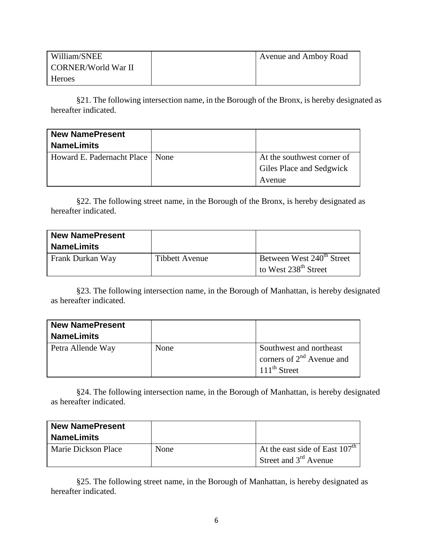| William/SNEE        | Avenue and Amboy Road |
|---------------------|-----------------------|
| CORNER/World War II |                       |
| Heroes              |                       |

§21. The following intersection name, in the Borough of the Bronx, is hereby designated as hereafter indicated.

| <b>New NamePresent</b><br><b>NameLimits</b> |                                                        |
|---------------------------------------------|--------------------------------------------------------|
| Howard E. Padernacht Place   None           | At the southwest corner of<br>Giles Place and Sedgwick |
|                                             | Avenue                                                 |

§22. The following street name, in the Borough of the Bronx, is hereby designated as hereafter indicated.

| <b>New NamePresent</b><br><b>NameLimits</b> |                |                                                                           |
|---------------------------------------------|----------------|---------------------------------------------------------------------------|
| Frank Durkan Way                            | Tibbett Avenue | Between West 240 <sup>th</sup> Street<br>to West $238^{\text{th}}$ Street |

§23. The following intersection name, in the Borough of Manhattan, is hereby designated as hereafter indicated.

| <b>New NamePresent</b><br><b>NameLimits</b> |      |                                                                                       |
|---------------------------------------------|------|---------------------------------------------------------------------------------------|
| Petra Allende Way                           | None | Southwest and northeast<br>corners of $2^{nd}$ Avenue and<br>$111^{\text{th}}$ Street |

§24. The following intersection name, in the Borough of Manhattan, is hereby designated as hereafter indicated.

| <b>New NamePresent</b><br><b>NameLimits</b> |      |                                                             |
|---------------------------------------------|------|-------------------------------------------------------------|
| Marie Dickson Place                         | None | At the east side of East $107th$<br>Street and $3rd$ Avenue |

§25. The following street name, in the Borough of Manhattan, is hereby designated as hereafter indicated.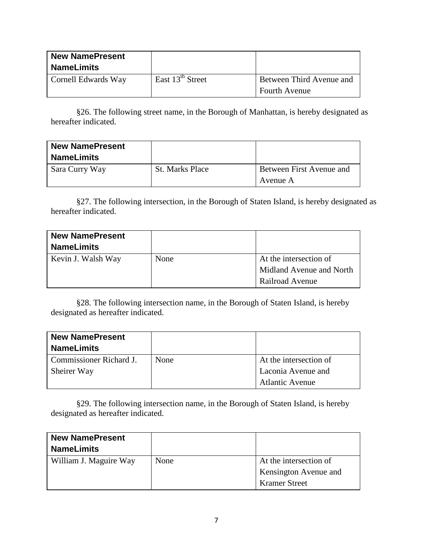| <b>New NamePresent</b><br><b>NameLimits</b> |                    |                          |
|---------------------------------------------|--------------------|--------------------------|
| Cornell Edwards Way                         | East $13th$ Street | Between Third Avenue and |
|                                             |                    | <b>Fourth Avenue</b>     |

§26. The following street name, in the Borough of Manhattan, is hereby designated as hereafter indicated.

| <b>New NamePresent</b><br><b>NameLimits</b> |                        |                                      |
|---------------------------------------------|------------------------|--------------------------------------|
| Sara Curry Way                              | <b>St. Marks Place</b> | Between First Avenue and<br>Avenue A |

§27. The following intersection, in the Borough of Staten Island, is hereby designated as hereafter indicated.

| <b>New NamePresent</b><br><b>NameLimits</b> |      |                          |
|---------------------------------------------|------|--------------------------|
| Kevin J. Walsh Way                          | None | At the intersection of   |
|                                             |      | Midland Avenue and North |
|                                             |      | Railroad Avenue          |

§28. The following intersection name, in the Borough of Staten Island, is hereby designated as hereafter indicated.

| <b>New NamePresent</b>  |      |                        |
|-------------------------|------|------------------------|
| <b>NameLimits</b>       |      |                        |
| Commissioner Richard J. | None | At the intersection of |
| Sheirer Way             |      | Laconia Avenue and     |
|                         |      | <b>Atlantic Avenue</b> |

§29. The following intersection name, in the Borough of Staten Island, is hereby designated as hereafter indicated.

| <b>New NamePresent</b> |      |                        |
|------------------------|------|------------------------|
| <b>NameLimits</b>      |      |                        |
| William J. Maguire Way | None | At the intersection of |
|                        |      | Kensington Avenue and  |
|                        |      | <b>Kramer Street</b>   |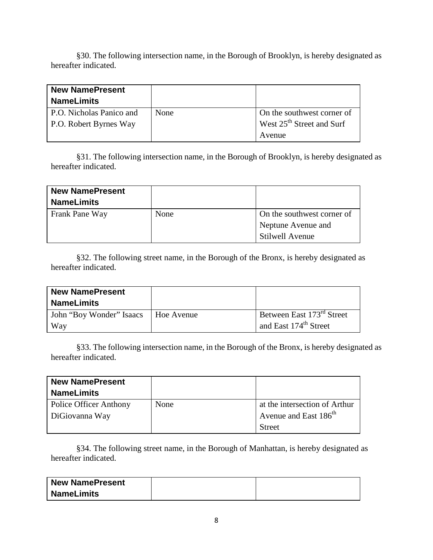§30. The following intersection name, in the Borough of Brooklyn, is hereby designated as hereafter indicated.

| <b>New NamePresent</b>        |      |                                       |
|-------------------------------|------|---------------------------------------|
| <b>NameLimits</b>             |      |                                       |
| P.O. Nicholas Panico and      | None | On the southwest corner of            |
| <b>P.O. Robert Byrnes Way</b> |      | West 25 <sup>th</sup> Street and Surf |
|                               |      | Avenue                                |

§31. The following intersection name, in the Borough of Brooklyn, is hereby designated as hereafter indicated.

| <b>New NamePresent</b><br><b>NameLimits</b> |      |                            |
|---------------------------------------------|------|----------------------------|
| Frank Pane Way                              | None | On the southwest corner of |
|                                             |      | Neptune Avenue and         |
|                                             |      | <b>Stilwell Avenue</b>     |

§32. The following street name, in the Borough of the Bronx, is hereby designated as hereafter indicated.

| <b>New NamePresent</b><br><b>NameLimits</b> |            |                                                                            |
|---------------------------------------------|------------|----------------------------------------------------------------------------|
| John "Boy Wonder" Isaacs<br>Way             | Hoe Avenue | Between East 173 <sup>rd</sup> Street<br>and East 174 <sup>th</sup> Street |

§33. The following intersection name, in the Borough of the Bronx, is hereby designated as hereafter indicated.

| <b>New NamePresent</b> |      |                                   |
|------------------------|------|-----------------------------------|
| <b>NameLimits</b>      |      |                                   |
| Police Officer Anthony | None | at the intersection of Arthur     |
| DiGiovanna Way         |      | Avenue and East 186 <sup>th</sup> |
|                        |      | <b>Street</b>                     |

§34. The following street name, in the Borough of Manhattan, is hereby designated as hereafter indicated.

| <b>New NamePresent</b> |  |
|------------------------|--|
| <b>NameLimits</b>      |  |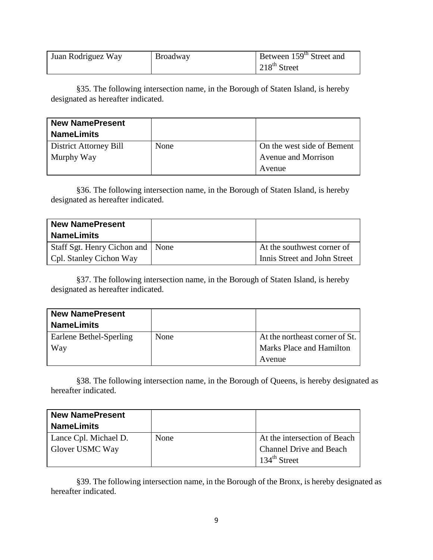| Juan Rodriguez Way | Broadway | Between 159 <sup>th</sup> Street and |
|--------------------|----------|--------------------------------------|
|                    |          | $\frac{1}{218}$ th Street            |

§35. The following intersection name, in the Borough of Staten Island, is hereby designated as hereafter indicated.

| <b>New NamePresent</b><br><b>NameLimits</b> |      |                            |
|---------------------------------------------|------|----------------------------|
| District Attorney Bill                      | None | On the west side of Bement |
| Murphy Way                                  |      | Avenue and Morrison        |
|                                             |      | Avenue                     |

§36. The following intersection name, in the Borough of Staten Island, is hereby designated as hereafter indicated.

| <b>New NamePresent</b><br><b>NameLimits</b> |                              |
|---------------------------------------------|------------------------------|
| Staff Sgt. Henry Cichon and   None          | At the southwest corner of   |
| Cpl. Stanley Cichon Way                     | Innis Street and John Street |

§37. The following intersection name, in the Borough of Staten Island, is hereby designated as hereafter indicated.

| <b>New NamePresent</b>  |      |                                 |
|-------------------------|------|---------------------------------|
| <b>NameLimits</b>       |      |                                 |
| Earlene Bethel-Sperling | None | At the northeast corner of St.  |
| Way                     |      | <b>Marks Place and Hamilton</b> |
|                         |      | Avenue                          |

§38. The following intersection name, in the Borough of Queens, is hereby designated as hereafter indicated.

| <b>New NamePresent</b><br><b>NameLimits</b> |      |                                |
|---------------------------------------------|------|--------------------------------|
| Lance Cpl. Michael D.                       | None | At the intersection of Beach   |
| Glover USMC Way                             |      | <b>Channel Drive and Beach</b> |
|                                             |      | 134 <sup>th</sup> Street       |

§39. The following intersection name, in the Borough of the Bronx, is hereby designated as hereafter indicated.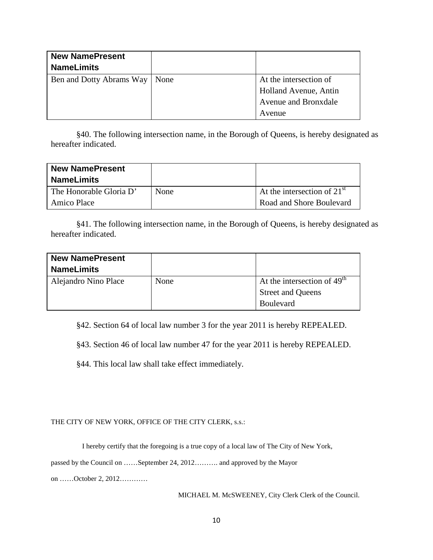| <b>New NamePresent</b><br><b>NameLimits</b> |                        |
|---------------------------------------------|------------------------|
| Ben and Dotty Abrams Way   None             | At the intersection of |
|                                             | Holland Avenue, Antin  |
|                                             | Avenue and Bronxdale   |
|                                             | Avenue                 |

§40. The following intersection name, in the Borough of Queens, is hereby designated as hereafter indicated.

| <b>New NamePresent</b><br><b>NameLimits</b> |      |                               |
|---------------------------------------------|------|-------------------------------|
| The Honorable Gloria D'                     | None | At the intersection of $21st$ |
| Amico Place                                 |      | Road and Shore Boulevard      |

§41. The following intersection name, in the Borough of Queens, is hereby designated as hereafter indicated.

| <b>New NamePresent</b> |      |                               |
|------------------------|------|-------------------------------|
| <b>NameLimits</b>      |      |                               |
| Alejandro Nino Place   | None | At the intersection of $49th$ |
|                        |      | <b>Street and Queens</b>      |
|                        |      | <b>Boulevard</b>              |

§42. Section 64 of local law number 3 for the year 2011 is hereby REPEALED.

§43. Section 46 of local law number 47 for the year 2011 is hereby REPEALED.

§44. This local law shall take effect immediately.

# THE CITY OF NEW YORK, OFFICE OF THE CITY CLERK, s.s.:

I hereby certify that the foregoing is a true copy of a local law of The City of New York,

passed by the Council on ……September 24, 2012………. and approved by the Mayor

on ……October 2, 2012…………

MICHAEL M. McSWEENEY, City Clerk Clerk of the Council.